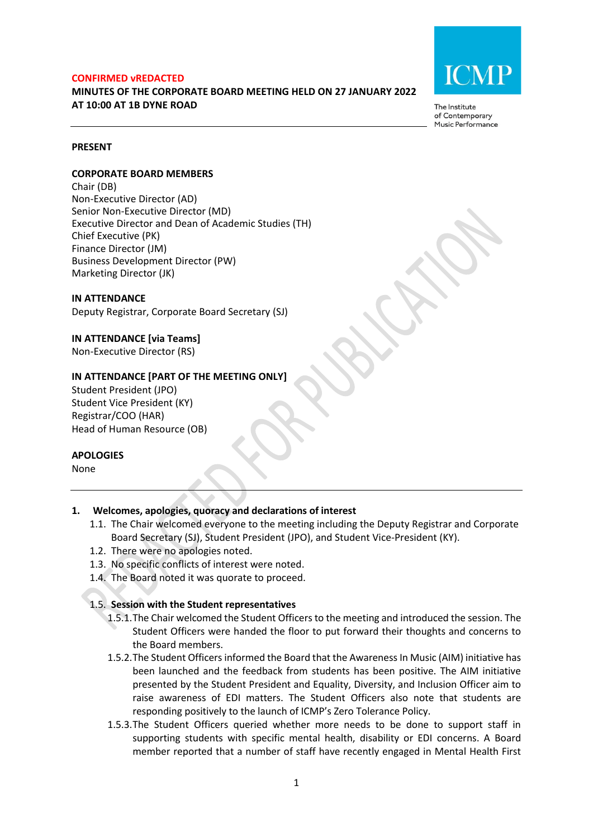#### **CONFIRMED vREDACTED**

# **MINUTES OF THE CORPORATE BOARD MEETING HELD ON 27 JANUARY 2022 AT 10:00 AT 1B DYNE ROAD**



The Institute of Contemporary Music Performance

#### **PRESENT**

#### **CORPORATE BOARD MEMBERS**

Chair (DB) Non-Executive Director (AD) Senior Non-Executive Director (MD) Executive Director and Dean of Academic Studies (TH) Chief Executive (PK) Finance Director (JM) Business Development Director (PW) Marketing Director (JK)

#### **IN ATTENDANCE**

Deputy Registrar, Corporate Board Secretary (SJ)

**IN ATTENDANCE [via Teams]** Non-Executive Director (RS)

#### **IN ATTENDANCE [PART OF THE MEETING ONLY]**

Student President (JPO) Student Vice President (KY) Registrar/COO (HAR) Head of Human Resource (OB)

#### **APOLOGIES**

None

### **1. Welcomes, apologies, quoracy and declarations of interest**

- 1.1. The Chair welcomed everyone to the meeting including the Deputy Registrar and Corporate Board Secretary (SJ), Student President (JPO), and Student Vice-President (KY).
- 1.2. There were no apologies noted.
- 1.3. No specific conflicts of interest were noted.
- 1.4. The Board noted it was quorate to proceed.

### 1.5. **Session with the Student representatives**

- 1.5.1.The Chair welcomed the Student Officersto the meeting and introduced the session. The Student Officers were handed the floor to put forward their thoughts and concerns to the Board members.
- 1.5.2.The Student Officers informed the Board that the Awareness In Music (AIM) initiative has been launched and the feedback from students has been positive. The AIM initiative presented by the Student President and Equality, Diversity, and Inclusion Officer aim to raise awareness of EDI matters. The Student Officers also note that students are responding positively to the launch of ICMP's Zero Tolerance Policy.
- 1.5.3.The Student Officers queried whether more needs to be done to support staff in supporting students with specific mental health, disability or EDI concerns. A Board member reported that a number of staff have recently engaged in Mental Health First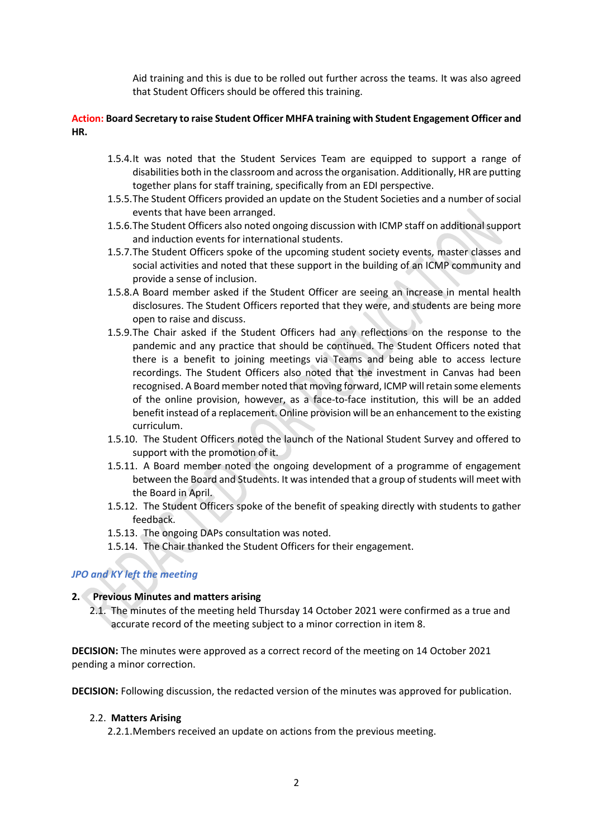Aid training and this is due to be rolled out further across the teams. It was also agreed that Student Officers should be offered this training.

# **Action: Board Secretary to raise Student Officer MHFA training with Student Engagement Officer and HR.**

- 1.5.4.It was noted that the Student Services Team are equipped to support a range of disabilities both in the classroom and across the organisation. Additionally, HR are putting together plans for staff training, specifically from an EDI perspective.
- 1.5.5.The Student Officers provided an update on the Student Societies and a number of social events that have been arranged.
- 1.5.6.The Student Officers also noted ongoing discussion with ICMP staff on additional support and induction events for international students.
- 1.5.7.The Student Officers spoke of the upcoming student society events, master classes and social activities and noted that these support in the building of an ICMP community and provide a sense of inclusion.
- 1.5.8.A Board member asked if the Student Officer are seeing an increase in mental health disclosures. The Student Officers reported that they were, and students are being more open to raise and discuss.
- 1.5.9.The Chair asked if the Student Officers had any reflections on the response to the pandemic and any practice that should be continued. The Student Officers noted that there is a benefit to joining meetings via Teams and being able to access lecture recordings. The Student Officers also noted that the investment in Canvas had been recognised. A Board member noted that moving forward, ICMP will retain some elements of the online provision, however, as a face-to-face institution, this will be an added benefit instead of a replacement. Online provision will be an enhancement to the existing curriculum.
- 1.5.10. The Student Officers noted the launch of the National Student Survey and offered to support with the promotion of it.
- 1.5.11. A Board member noted the ongoing development of a programme of engagement between the Board and Students. It was intended that a group of students will meet with the Board in April.
- 1.5.12. The Student Officers spoke of the benefit of speaking directly with students to gather feedback.
- 1.5.13. The ongoing DAPs consultation was noted.
- 1.5.14. The Chair thanked the Student Officers for their engagement.

# *JPO and KY left the meeting*

### **2. Previous Minutes and matters arising**

2.1. The minutes of the meeting held Thursday 14 October 2021 were confirmed as a true and accurate record of the meeting subject to a minor correction in item 8.

**DECISION:** The minutes were approved as a correct record of the meeting on 14 October 2021 pending a minor correction.

**DECISION:** Following discussion, the redacted version of the minutes was approved for publication.

### 2.2. **Matters Arising**

2.2.1.Members received an update on actions from the previous meeting.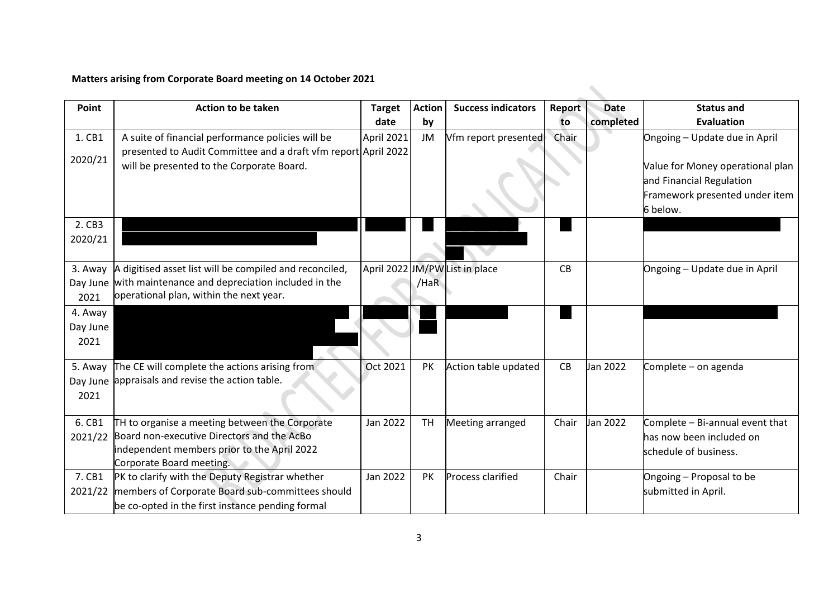# **Matters arising from Corporate Board meeting on 14 October 2021**

| Point    | <b>Action to be taken</b>                                      | <b>Target</b> | <b>Action</b> | <b>Success indicators</b>      | Report | <b>Date</b> | <b>Status and</b>                |
|----------|----------------------------------------------------------------|---------------|---------------|--------------------------------|--------|-------------|----------------------------------|
|          |                                                                | date          | by            |                                | to     | completed   | <b>Evaluation</b>                |
| 1. CB1   | A suite of financial performance policies will be              | April 2021    | JM            | Vfm report presented           | Chair  |             | Ongoing - Update due in April    |
|          | presented to Audit Committee and a draft vfm report April 2022 |               |               |                                |        |             |                                  |
| 2020/21  | will be presented to the Corporate Board.                      |               |               |                                |        |             | Value for Money operational plan |
|          |                                                                |               |               |                                |        |             | and Financial Regulation         |
|          |                                                                |               |               |                                |        |             | Framework presented under item   |
|          |                                                                |               |               |                                |        |             | 6 below.                         |
| 2. CB3   |                                                                |               |               |                                |        |             |                                  |
| 2020/21  |                                                                |               |               |                                |        |             |                                  |
|          |                                                                |               |               |                                |        |             |                                  |
| 3. Away  | A digitised asset list will be compiled and reconciled,        |               |               | April 2022 JM/PW List in place | CB     |             | Ongoing - Update due in April    |
| Day June | with maintenance and depreciation included in the              |               | /HaR          |                                |        |             |                                  |
| 2021     | operational plan, within the next year.                        |               |               |                                |        |             |                                  |
| 4. Away  |                                                                |               |               |                                |        |             |                                  |
| Day June |                                                                |               |               |                                |        |             |                                  |
| 2021     |                                                                |               |               |                                |        |             |                                  |
|          |                                                                |               |               |                                |        |             |                                  |
| 5. Away  | The CE will complete the actions arising from                  | Oct 2021      | <b>PK</b>     | Action table updated           | CB     | Jan 2022    | Complete - on agenda             |
|          | Day June appraisals and revise the action table.               |               |               |                                |        |             |                                  |
| 2021     |                                                                |               |               |                                |        |             |                                  |
| 6. CB1   | TH to organise a meeting between the Corporate                 | Jan 2022      | <b>TH</b>     | Meeting arranged               | Chair  | Jan 2022    | Complete - Bi-annual event that  |
| 2021/22  | Board non-executive Directors and the AcBo                     |               |               |                                |        |             | has now been included on         |
|          | independent members prior to the April 2022                    |               |               |                                |        |             | schedule of business.            |
|          | Corporate Board meeting.                                       |               |               |                                |        |             |                                  |
| 7. CB1   | PK to clarify with the Deputy Registrar whether                | Jan 2022      | <b>PK</b>     | <b>Process clarified</b>       | Chair  |             | Ongoing - Proposal to be         |
| 2021/22  | members of Corporate Board sub-committees should               |               |               |                                |        |             | submitted in April.              |
|          | be co-opted in the first instance pending formal               |               |               |                                |        |             |                                  |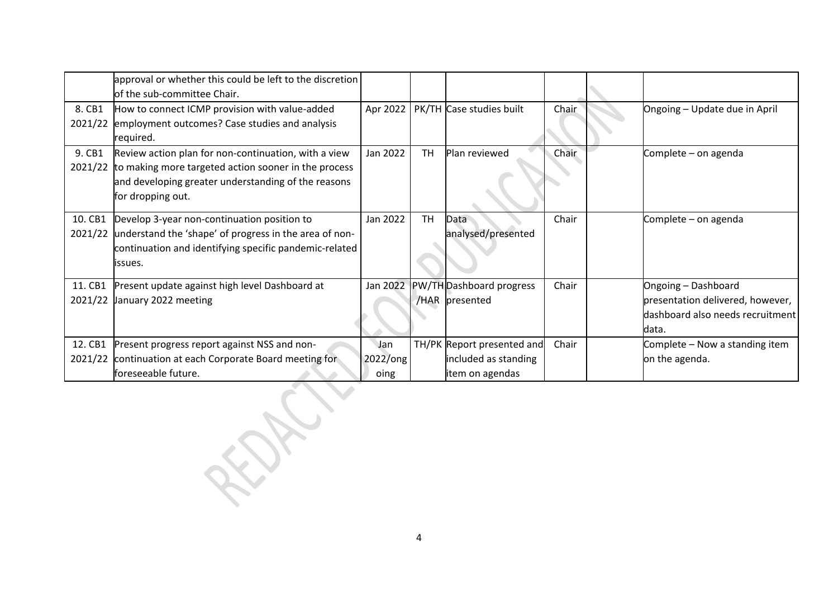|         | approval or whether this could be left to the discretion |             |           |                                   |       |                                  |
|---------|----------------------------------------------------------|-------------|-----------|-----------------------------------|-------|----------------------------------|
|         | of the sub-committee Chair.                              |             |           |                                   |       |                                  |
| 8. CB1  | How to connect ICMP provision with value-added           | Apr 2022    |           | PK/TH Case studies built          | Chair | Ongoing - Update due in April    |
| 2021/22 | employment outcomes? Case studies and analysis           |             |           |                                   |       |                                  |
|         | required.                                                |             |           |                                   |       |                                  |
| 9. CB1  | Review action plan for non-continuation, with a view     | Jan 2022    | <b>TH</b> | Plan reviewed                     | Chair | Complete - on agenda             |
| 2021/22 | to making more targeted action sooner in the process     |             |           |                                   |       |                                  |
|         | and developing greater understanding of the reasons      |             |           |                                   |       |                                  |
|         | for dropping out.                                        |             |           |                                   |       |                                  |
| 10. CB1 | Develop 3-year non-continuation position to              | Jan 2022    | TH        | Data                              | Chair | Complete - on agenda             |
| 2021/22 | understand the 'shape' of progress in the area of non-   |             |           | analysed/presented                |       |                                  |
|         | continuation and identifying specific pandemic-related   |             |           |                                   |       |                                  |
|         | issues.                                                  |             |           |                                   |       |                                  |
|         |                                                          |             |           |                                   |       |                                  |
| 11. CB1 | Present update against high level Dashboard at           |             |           | Jan 2022 PW/TH Dashboard progress | Chair | Ongoing - Dashboard              |
| 2021/22 | January 2022 meeting                                     |             |           | /HAR presented                    |       | presentation delivered, however, |
|         |                                                          |             |           |                                   |       | dashboard also needs recruitment |
|         |                                                          |             |           |                                   |       | ldata.                           |
| 12. CB1 | Present progress report against NSS and non-             | Jan         |           | TH/PK Report presented and        | Chair | Complete - Now a standing item   |
| 2021/22 | continuation at each Corporate Board meeting for         | $2022$ /ong |           | included as standing              |       | on the agenda.                   |
|         | foreseeable future.                                      | oing        |           | item on agendas                   |       |                                  |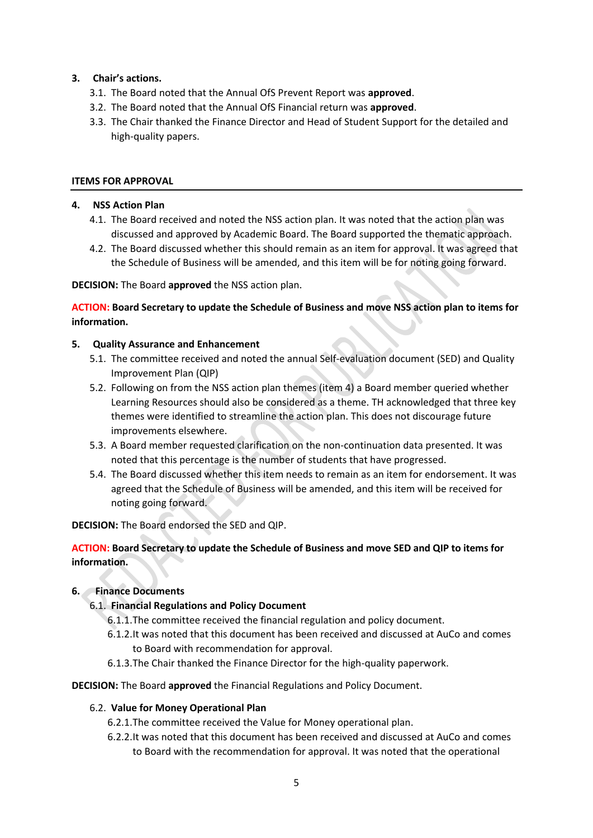# **3. Chair's actions.**

- 3.1. The Board noted that the Annual OfS Prevent Report was **approved**.
- 3.2. The Board noted that the Annual OfS Financial return was **approved**.
- 3.3. The Chair thanked the Finance Director and Head of Student Support for the detailed and high-quality papers.

# **ITEMS FOR APPROVAL**

# **4. NSS Action Plan**

- 4.1. The Board received and noted the NSS action plan. It was noted that the action plan was discussed and approved by Academic Board. The Board supported the thematic approach.
- 4.2. The Board discussed whether this should remain as an item for approval. It was agreed that the Schedule of Business will be amended, and this item will be for noting going forward.

# **DECISION:** The Board **approved** the NSS action plan.

**ACTION: Board Secretary to update the Schedule of Business and move NSS action plan to items for information.**

# **5. Quality Assurance and Enhancement**

- 5.1. The committee received and noted the annual Self-evaluation document (SED) and Quality Improvement Plan (QIP)
- 5.2. Following on from the NSS action plan themes (item 4) a Board member queried whether Learning Resources should also be considered as a theme. TH acknowledged that three key themes were identified to streamline the action plan. This does not discourage future improvements elsewhere.
- 5.3. A Board member requested clarification on the non-continuation data presented. It was noted that this percentage is the number of students that have progressed.
- 5.4. The Board discussed whether this item needs to remain as an item for endorsement. It was agreed that the Schedule of Business will be amended, and this item will be received for noting going forward.

**DECISION:** The Board endorsed the SED and QIP.

# **ACTION: Board Secretary to update the Schedule of Business and move SED and QIP to items for information.**

# **6. Finance Documents**

# 6.1. **Financial Regulations and Policy Document**

- 6.1.1.The committee received the financial regulation and policy document.
- 6.1.2.It was noted that this document has been received and discussed at AuCo and comes to Board with recommendation for approval.
- 6.1.3.The Chair thanked the Finance Director for the high-quality paperwork.

**DECISION:** The Board **approved** the Financial Regulations and Policy Document.

### 6.2. **Value for Money Operational Plan**

- 6.2.1.The committee received the Value for Money operational plan.
- 6.2.2.It was noted that this document has been received and discussed at AuCo and comes to Board with the recommendation for approval. It was noted that the operational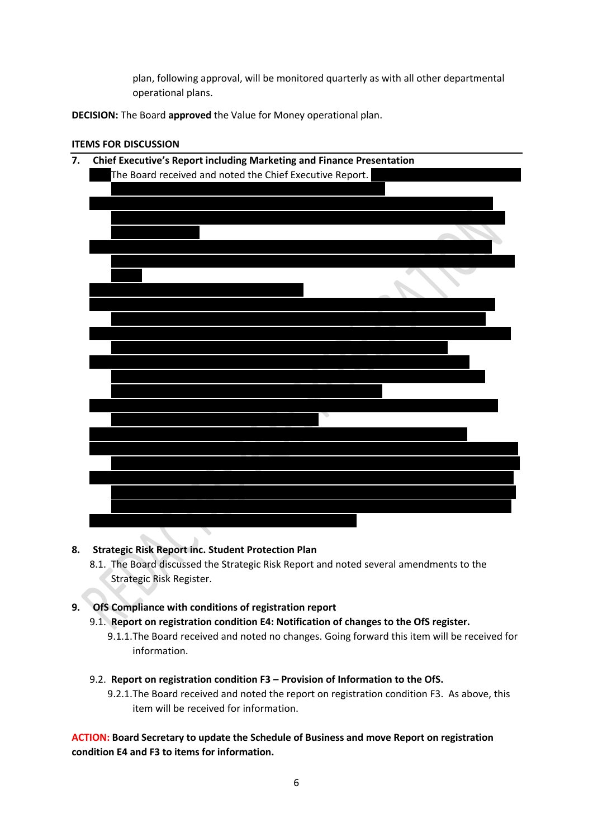plan, following approval, will be monitored quarterly as with all other departmental operational plans.

**DECISION:** The Board **approved** the Value for Money operational plan.

### **ITEMS FOR DISCUSSION**



# **8. Strategic Risk Report inc. Student Protection Plan**

8.1. The Board discussed the Strategic Risk Report and noted several amendments to the Strategic Risk Register.

# **9. OfS Compliance with conditions of registration report**

- 9.1. **Report on registration condition E4: Notification of changes to the OfS register.** 
	- 9.1.1.The Board received and noted no changes. Going forward this item will be received for information.
- 9.2. **Report on registration condition F3 – Provision of Information to the OfS.**
	- 9.2.1.The Board received and noted the report on registration condition F3. As above, this item will be received for information.

**ACTION: Board Secretary to update the Schedule of Business and move Report on registration condition E4 and F3 to items for information.**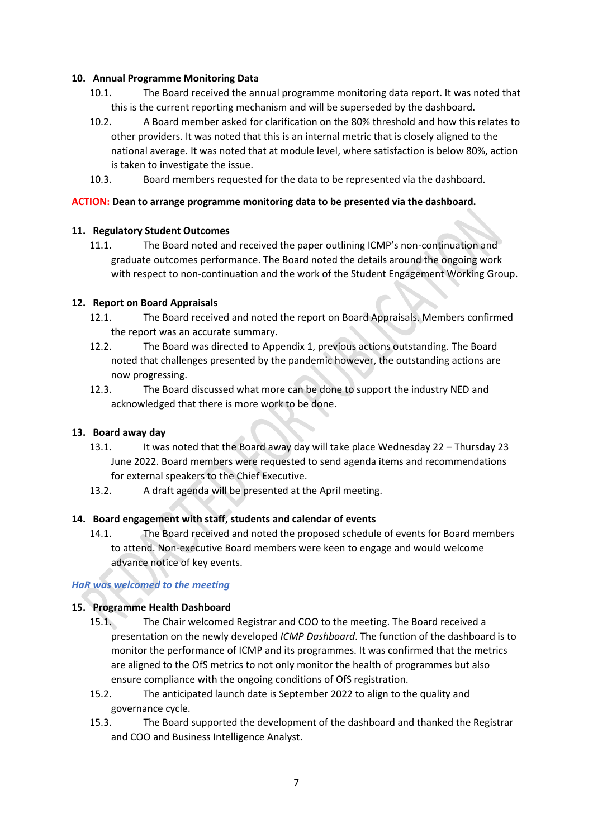### **10. Annual Programme Monitoring Data**

- 10.1. The Board received the annual programme monitoring data report. It was noted that this is the current reporting mechanism and will be superseded by the dashboard.
- 10.2. A Board member asked for clarification on the 80% threshold and how this relates to other providers. It was noted that this is an internal metric that is closely aligned to the national average. It was noted that at module level, where satisfaction is below 80%, action is taken to investigate the issue.
- 10.3. Board members requested for the data to be represented via the dashboard.

#### **ACTION: Dean to arrange programme monitoring data to be presented via the dashboard.**

#### **11. Regulatory Student Outcomes**

11.1. The Board noted and received the paper outlining ICMP's non-continuation and graduate outcomes performance. The Board noted the details around the ongoing work with respect to non-continuation and the work of the Student Engagement Working Group.

#### **12. Report on Board Appraisals**

- 12.1. The Board received and noted the report on Board Appraisals. Members confirmed the report was an accurate summary.
- 12.2. The Board was directed to Appendix 1, previous actions outstanding. The Board noted that challenges presented by the pandemic however, the outstanding actions are now progressing.
- 12.3. The Board discussed what more can be done to support the industry NED and acknowledged that there is more work to be done.

#### **13. Board away day**

- 13.1. It was noted that the Board away day will take place Wednesday 22 Thursday 23 June 2022. Board members were requested to send agenda items and recommendations for external speakers to the Chief Executive.
- 13.2. A draft agenda will be presented at the April meeting.

#### **14. Board engagement with staff, students and calendar of events**

14.1. The Board received and noted the proposed schedule of events for Board members to attend. Non-executive Board members were keen to engage and would welcome advance notice of key events.

#### *HaR was welcomed to the meeting*

#### **15. Programme Health Dashboard**

- 15.1. The Chair welcomed Registrar and COO to the meeting. The Board received a presentation on the newly developed *ICMP Dashboard*. The function of the dashboard is to monitor the performance of ICMP and its programmes. It was confirmed that the metrics are aligned to the OfS metrics to not only monitor the health of programmes but also ensure compliance with the ongoing conditions of OfS registration.
- 15.2. The anticipated launch date is September 2022 to align to the quality and governance cycle.
- 15.3. The Board supported the development of the dashboard and thanked the Registrar and COO and Business Intelligence Analyst.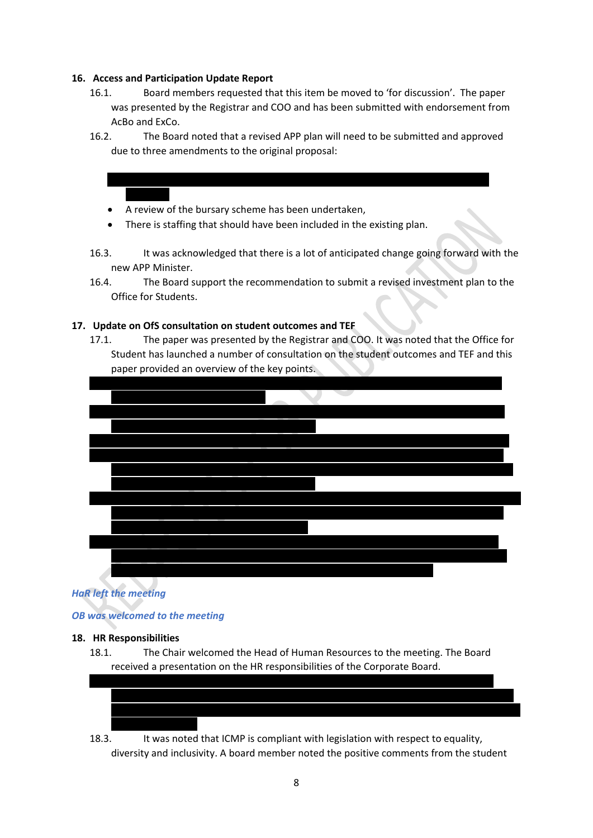### **16. Access and Participation Update Report**

- 16.1. Board members requested that this item be moved to 'for discussion'. The paper was presented by the Registrar and COO and has been submitted with endorsement from AcBo and ExCo.
- 16.2. The Board noted that a revised APP plan will need to be submitted and approved due to three amendments to the original proposal:

 $\mathcal{F}_{\mathcal{F}}$  is less than originally anticipated and therefore less spend on the forecast spend on the forecast spend on

- A review of the bursary scheme has been undertaken,
- There is staffing that should have been included in the existing plan.
- 16.3. It was acknowledged that there is a lot of anticipated change going forward with the new APP Minister.
- 16.4. The Board support the recommendation to submit a revised investment plan to the Office for Students.

#### **17. Update on OfS consultation on student outcomes and TEF**

17.1. The paper was presented by the Registrar and COO. It was noted that the Office for Student has launched a number of consultation on the student outcomes and TEF and this paper provided an overview of the key points.



# *HaR left the meeting*

### *OB was welcomed to the meeting*

#### **18. HR Responsibilities**

18.1. The Chair welcomed the Head of Human Resources to the meeting. The Board received a presentation on the HR responsibilities of the Corporate Board.



18.3. It was noted that ICMP is compliant with legislation with respect to equality, diversity and inclusivity. A board member noted the positive comments from the student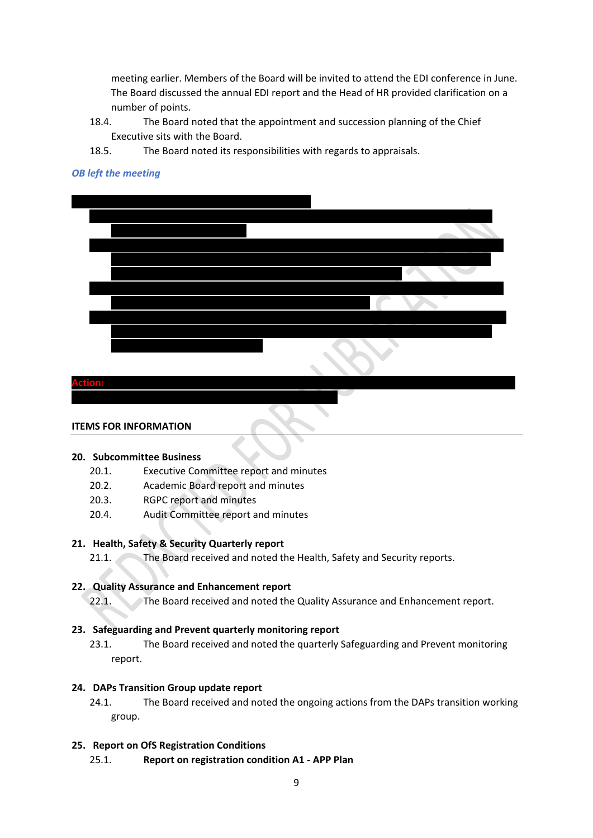meeting earlier. Members of the Board will be invited to attend the EDI conference in June. The Board discussed the annual EDI report and the Head of HR provided clarification on a number of points.

- 18.4. The Board noted that the appointment and succession planning of the Chief Executive sits with the Board.
- 18.5. The Board noted its responsibilities with regards to appraisals.

### *OB left the meeting*



#### **ITEMS FOR INFORMATION**

#### **20. Subcommittee Business**

- 20.1. Executive Committee report and minutes
- 20.2. Academic Board report and minutes
- 20.3. RGPC report and minutes
- 20.4. Audit Committee report and minutes

#### **21. Health, Safety & Security Quarterly report**

21.1. The Board received and noted the Health, Safety and Security reports.

#### **22. Quality Assurance and Enhancement report**

22.1. The Board received and noted the Quality Assurance and Enhancement report.

#### **23. Safeguarding and Prevent quarterly monitoring report**

23.1. The Board received and noted the quarterly Safeguarding and Prevent monitoring report.

#### **24. DAPs Transition Group update report**

24.1. The Board received and noted the ongoing actions from the DAPs transition working group.

## **25. Report on OfS Registration Conditions**

25.1. **Report on registration condition A1 - APP Plan**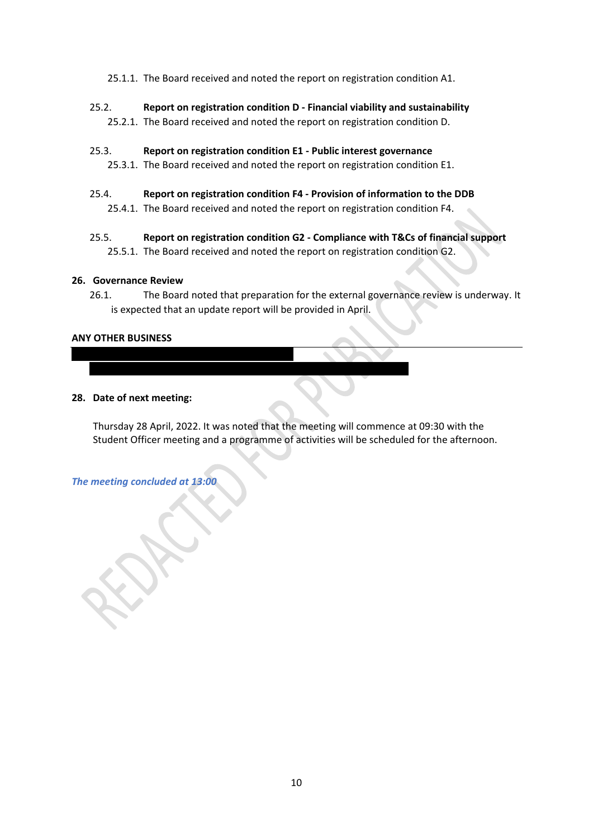- 25.1.1. The Board received and noted the report on registration condition A1.
- 25.2. **Report on registration condition D - Financial viability and sustainability** 25.2.1. The Board received and noted the report on registration condition D.

#### 25.3. **Report on registration condition E1 - Public interest governance**

27.1. Agenda item was noted as part of item 2.2, Matters Arising.

- 25.3.1. The Board received and noted the report on registration condition E1.
- 25.4. **Report on registration condition F4 - Provision of information to the DDB**  25.4.1. The Board received and noted the report on registration condition F4.
- 25.5. **Report on registration condition G2 - Compliance with T&Cs of financial support**  25.5.1. The Board received and noted the report on registration condition G2.

#### **26. Governance Review**

26.1. The Board noted that preparation for the external governance review is underway. It is expected that an update report will be provided in April.

#### **ANY OTHER BUSINESS**

#### **28. Date of next meeting:**

Thursday 28 April, 2022. It was noted that the meeting will commence at 09:30 with the Student Officer meeting and a programme of activities will be scheduled for the afternoon.

*The meeting concluded at 13:00*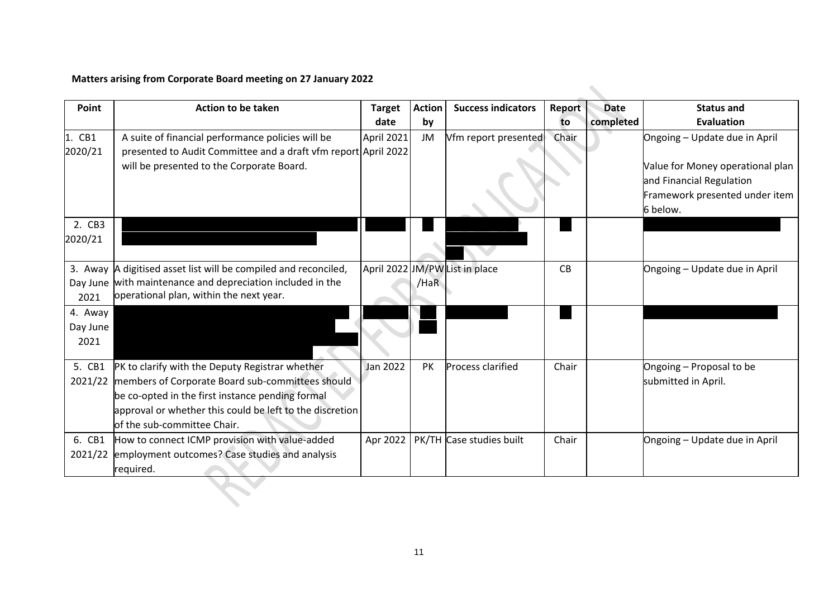# **Matters arising from Corporate Board meeting on 27 January 2022**

| Point                                   | <b>Action to be taken</b>                                                                                                                                                                                                                          | <b>Target</b><br>date | <b>Action</b><br>by | <b>Success indicators</b>      | Report<br>to | <b>Date</b><br>completed | <b>Status and</b><br><b>Evaluation</b>                                                                                                      |
|-----------------------------------------|----------------------------------------------------------------------------------------------------------------------------------------------------------------------------------------------------------------------------------------------------|-----------------------|---------------------|--------------------------------|--------------|--------------------------|---------------------------------------------------------------------------------------------------------------------------------------------|
| 1. CB1<br>2020/21                       | A suite of financial performance policies will be<br>presented to Audit Committee and a draft vfm report April 2022<br>will be presented to the Corporate Board.                                                                                   | April 2021            | JM                  | Vfm report presented           | Chair        |                          | Ongoing - Update due in April<br>Value for Money operational plan<br>and Financial Regulation<br>Framework presented under item<br>6 below. |
| 2. CB3<br>2020/21                       |                                                                                                                                                                                                                                                    |                       |                     |                                |              |                          |                                                                                                                                             |
| Day June<br>2021<br>4. Away<br>Day June | 3. Away A digitised asset list will be compiled and reconciled,<br>with maintenance and depreciation included in the<br>operational plan, within the next year.                                                                                    |                       | /HaR                | April 2022 JM/PW List in place | CB           |                          | Ongoing - Update due in April                                                                                                               |
| 2021<br>5. CB1<br>2021/22               | PK to clarify with the Deputy Registrar whether<br>members of Corporate Board sub-committees should<br>be co-opted in the first instance pending formal<br>approval or whether this could be left to the discretion<br>of the sub-committee Chair. | Jan 2022              | PK                  | <b>Process clarified</b>       | Chair        |                          | Ongoing - Proposal to be<br>submitted in April.                                                                                             |
| 6. CB1<br>2021/22                       | How to connect ICMP provision with value-added<br>employment outcomes? Case studies and analysis<br>required.                                                                                                                                      | Apr 2022              |                     | PK/TH Case studies built       | Chair        |                          | Ongoing - Update due in April                                                                                                               |